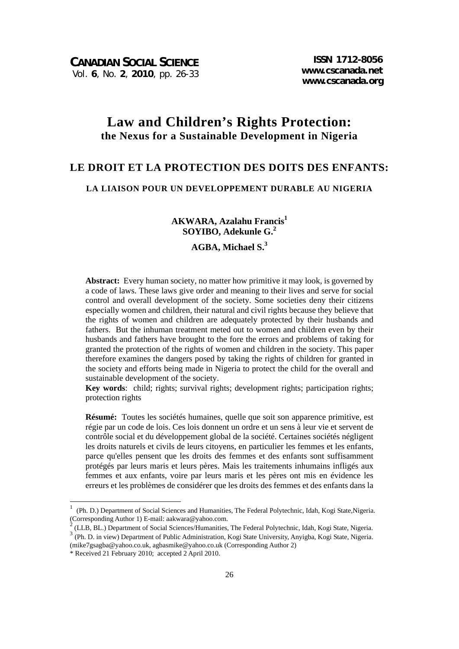# **Law and Children's Rights Protection: the Nexus for a Sustainable Development in Nigeria**

### **LE DROIT ET LA PROTECTION DES DOITS DES ENFANTS:**

#### **LA LIAISON POUR UN DEVELOPPEMENT DURABLE AU NIGERIA**

**AKWARA, Azalahu Francis1 SOYIBO, Adekunle G.2**

# **AGBA, Michael S.3**

**Abstract:** Every human society, no matter how primitive it may look, is governed by a code of laws. These laws give order and meaning to their lives and serve for social control and overall development of the society. Some societies deny their citizens especially women and children, their natural and civil rights because they believe that the rights of women and children are adequately protected by their husbands and fathers. But the inhuman treatment meted out to women and children even by their husbands and fathers have brought to the fore the errors and problems of taking for granted the protection of the rights of women and children in the society. This paper therefore examines the dangers posed by taking the rights of children for granted in the society and efforts being made in Nigeria to protect the child for the overall and sustainable development of the society.

**Key words**: child; rights; survival rights; development rights; participation rights; protection rights

**Résumé:** Toutes les sociétés humaines, quelle que soit son apparence primitive, est régie par un code de lois. Ces lois donnent un ordre et un sens à leur vie et servent de contrôle social et du développement global de la société. Certaines sociétés négligent les droits naturels et civils de leurs citoyens, en particulier les femmes et les enfants, parce qu'elles pensent que les droits des femmes et des enfants sont suffisamment protégés par leurs maris et leurs pères. Mais les traitements inhumains infligés aux femmes et aux enfants, voire par leurs maris et les pères ont mis en évidence les erreurs et les problèmes de considérer que les droits des femmes et des enfants dans la

-

<sup>1</sup> (Ph. D.) Department of Social Sciences and Humanities, The Federal Polytechnic, Idah, Kogi State,Nigeria. (Corresponding Author 1) E-mail: aakwara@yahoo.com.

<sup>2</sup> (LLB, BL.) Department of Social Sciences/Humanities, The Federal Polytechnic, Idah, Kogi State, Nigeria.

<sup>&</sup>lt;sup>3</sup> (Ph. D. in view) Department of Public Administration, Kogi State University, Anyigba, Kogi State, Nigeria. (mike7gsagba@yahoo.co.uk, agbasmike@yahoo.co.uk (Corresponding Author 2)

<sup>\*</sup> Received 21 February 2010; accepted 2 April 2010.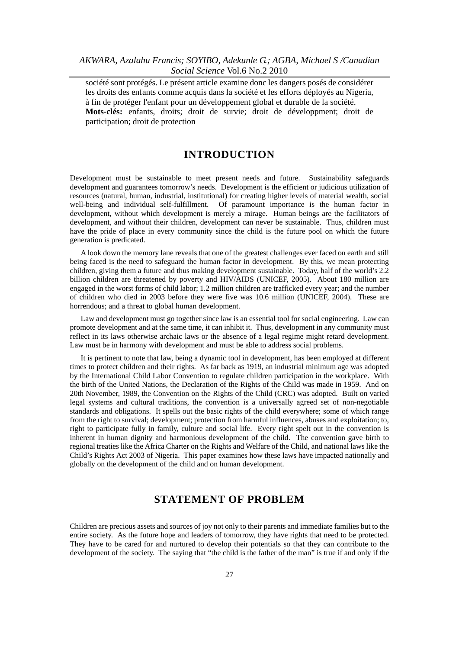société sont protégés. Le présent article examine donc les dangers posés de considérer les droits des enfants comme acquis dans la société et les efforts déployés au Nigeria, à fin de protéger l'enfant pour un développement global et durable de la société. **Mots-clés:** enfants, droits; droit de survie; droit de développment; droit de participation; droit de protection

#### **INTRODUCTION**

Development must be sustainable to meet present needs and future. Sustainability safeguards development and guarantees tomorrow's needs. Development is the efficient or judicious utilization of resources (natural, human, industrial, institutional) for creating higher levels of material wealth, social well-being and individual self-fulfillment. Of paramount importance is the human factor in development, without which development is merely a mirage. Human beings are the facilitators of development, and without their children, development can never be sustainable. Thus, children must have the pride of place in every community since the child is the future pool on which the future generation is predicated.

A look down the memory lane reveals that one of the greatest challenges ever faced on earth and still being faced is the need to safeguard the human factor in development. By this, we mean protecting children, giving them a future and thus making development sustainable. Today, half of the world's 2.2 billion children are threatened by poverty and HIV/AIDS (UNICEF, 2005). About 180 million are engaged in the worst forms of child labor; 1.2 million children are trafficked every year; and the number of children who died in 2003 before they were five was 10.6 million (UNICEF, 2004). These are horrendous; and a threat to global human development.

Law and development must go together since law is an essential tool for social engineering. Law can promote development and at the same time, it can inhibit it. Thus, development in any community must reflect in its laws otherwise archaic laws or the absence of a legal regime might retard development. Law must be in harmony with development and must be able to address social problems.

It is pertinent to note that law, being a dynamic tool in development, has been employed at different times to protect children and their rights. As far back as 1919, an industrial minimum age was adopted by the International Child Labor Convention to regulate children participation in the workplace. With the birth of the United Nations, the Declaration of the Rights of the Child was made in 1959. And on 20th November, 1989, the Convention on the Rights of the Child (CRC) was adopted. Built on varied legal systems and cultural traditions, the convention is a universally agreed set of non-negotiable standards and obligations. It spells out the basic rights of the child everywhere; some of which range from the right to survival; development; protection from harmful influences, abuses and exploitation; to, right to participate fully in family, culture and social life. Every right spelt out in the convention is inherent in human dignity and harmonious development of the child. The convention gave birth to regional treaties like the Africa Charter on the Rights and Welfare of the Child, and national laws like the Child's Rights Act 2003 of Nigeria. This paper examines how these laws have impacted nationally and globally on the development of the child and on human development.

## **STATEMENT OF PROBLEM**

Children are precious assets and sources of joy not only to their parents and immediate families but to the entire society. As the future hope and leaders of tomorrow, they have rights that need to be protected. They have to be cared for and nurtured to develop their potentials so that they can contribute to the development of the society. The saying that "the child is the father of the man" is true if and only if the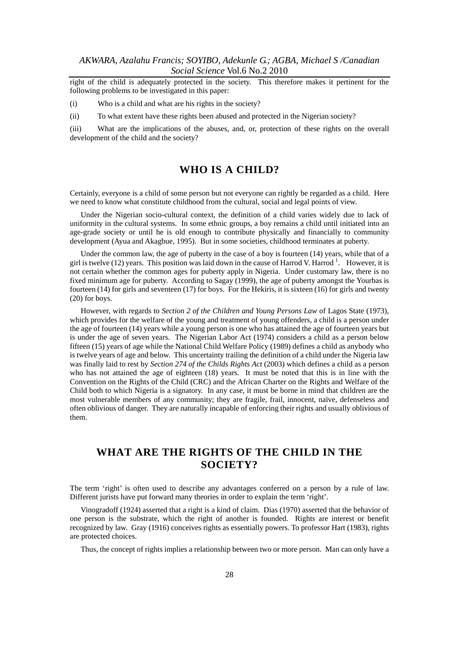right of the child is adequately protected in the society. This therefore makes it pertinent for the following problems to be investigated in this paper:

- (i) Who is a child and what are his rights in the society?
- (ii) To what extent have these rights been abused and protected in the Nigerian society?

(iii) What are the implications of the abuses, and, or, protection of these rights on the overall development of the child and the society?

### **WHO IS A CHILD?**

Certainly, everyone is a child of some person but not everyone can rightly be regarded as a child. Here we need to know what constitute childhood from the cultural, social and legal points of view.

Under the Nigerian socio-cultural context, the definition of a child varies widely due to lack of uniformity in the cultural systems. In some ethnic groups, a boy remains a child until initiated into an age-grade society or until he is old enough to contribute physically and financially to community development (Ayua and Akagbue, 1995). But in some societies, childhood terminates at puberty.

Under the common law, the age of puberty in the case of a boy is fourteen (14) years, while that of a girl is twelve (12) years. This position was laid down in the cause of Harrod V. Harrod  $^1$ . However, it is not certain whether the common ages for puberty apply in Nigeria. Under customary law, there is no fixed minimum age for puberty. According to Sagay (1999), the age of puberty amongst the Yourbas is fourteen (14) for girls and seventeen (17) for boys. For the Hekiris, it is sixteen (16) for girls and twenty (20) for boys.

However, with regards to *Section 2 of the Children and Young Persons Law* of Lagos State (1973), which provides for the welfare of the young and treatment of young offenders, a child is a person under the age of fourteen (14) years while a young person is one who has attained the age of fourteen years but is under the age of seven years. The Nigerian Labor Act (1974) considers a child as a person below fifteen (15) years of age while the National Child Welfare Policy (1989) defines a child as anybody who is twelve years of age and below. This uncertainty trailing the definition of a child under the Nigeria law was finally laid to rest by *Section 274 of the Childs Rights Act* (2003) which defines a child as a person who has not attained the age of eighteen (18) years. It must be noted that this is in line with the Convention on the Rights of the Child (CRC) and the African Charter on the Rights and Welfare of the Child both to which Nigeria is a signatory. In any case, it must be borne in mind that children are the most vulnerable members of any community; they are fragile, frail, innocent, naïve, defenseless and often oblivious of danger. They are naturally incapable of enforcing their rights and usually oblivious of them.

# **WHAT ARE THE RIGHTS OF THE CHILD IN THE SOCIETY?**

The term 'right' is often used to describe any advantages conferred on a person by a rule of law. Different jurists have put forward many theories in order to explain the term 'right'.

Vinogradoff (1924) asserted that a right is a kind of claim. Dias (1970) asserted that the behavior of one person is the substrate, which the right of another is founded. Rights are interest or benefit recognized by law. Gray (1916) conceives rights as essentially powers. To professor Hart (1983), rights are protected choices.

Thus, the concept of rights implies a relationship between two or more person. Man can only have a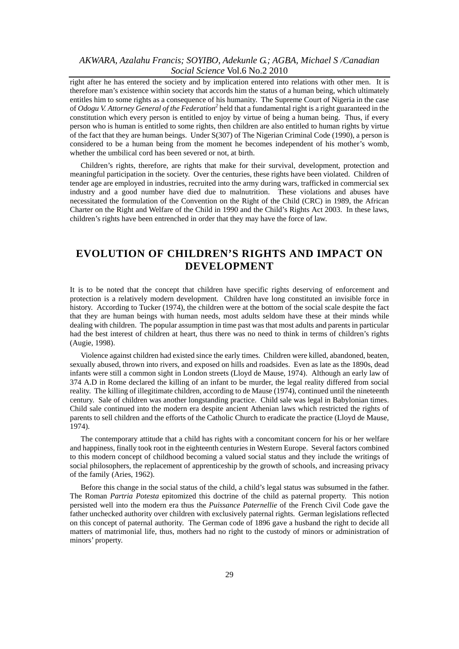right after he has entered the society and by implication entered into relations with other men. It is therefore man's existence within society that accords him the status of a human being, which ultimately entitles him to some rights as a consequence of his humanity. The Supreme Court of Nigeria in the case of *Odogu V. Attorney General of the Federation*<sup>2</sup> held that a fundamental right is a right guaranteed in the constitution which every person is entitled to enjoy by virtue of being a human being. Thus, if every person who is human is entitled to some rights, then children are also entitled to human rights by virtue of the fact that they are human beings. Under S(307) of The Nigerian Criminal Code (1990), a person is considered to be a human being from the moment he becomes independent of his mother's womb, whether the umbilical cord has been severed or not, at birth.

Children's rights, therefore, are rights that make for their survival, development, protection and meaningful participation in the society. Over the centuries, these rights have been violated. Children of tender age are employed in industries, recruited into the army during wars, trafficked in commercial sex industry and a good number have died due to malnutrition. These violations and abuses have necessitated the formulation of the Convention on the Right of the Child (CRC) in 1989, the African Charter on the Right and Welfare of the Child in 1990 and the Child's Rights Act 2003. In these laws, children's rights have been entrenched in order that they may have the force of law.

# **EVOLUTION OF CHILDREN'S RIGHTS AND IMPACT ON DEVELOPMENT**

It is to be noted that the concept that children have specific rights deserving of enforcement and protection is a relatively modern development. Children have long constituted an invisible force in history. According to Tucker (1974), the children were at the bottom of the social scale despite the fact that they are human beings with human needs, most adults seldom have these at their minds while dealing with children. The popular assumption in time past was that most adults and parents in particular had the best interest of children at heart, thus there was no need to think in terms of children's rights (Augie, 1998).

Violence against children had existed since the early times. Children were killed, abandoned, beaten, sexually abused, thrown into rivers, and exposed on hills and roadsides. Even as late as the 1890s, dead infants were still a common sight in London streets (Lloyd de Mause, 1974). Although an early law of 374 A.D in Rome declared the killing of an infant to be murder, the legal reality differed from social reality. The killing of illegitimate children, according to de Mause (1974), continued until the nineteenth century. Sale of children was another longstanding practice. Child sale was legal in Babylonian times. Child sale continued into the modern era despite ancient Athenian laws which restricted the rights of parents to sell children and the efforts of the Catholic Church to eradicate the practice (Lloyd de Mause, 1974).

The contemporary attitude that a child has rights with a concomitant concern for his or her welfare and happiness, finally took root in the eighteenth centuries in Western Europe. Several factors combined to this modern concept of childhood becoming a valued social status and they include the writings of social philosophers, the replacement of apprenticeship by the growth of schools, and increasing privacy of the family (Aries, 1962).

Before this change in the social status of the child, a child's legal status was subsumed in the father. The Roman *Partria Potesta* epitomized this doctrine of the child as paternal property. This notion persisted well into the modern era thus the *Puissance Paternellie* of the French Civil Code gave the father unchecked authority over children with exclusively paternal rights. German legislations reflected on this concept of paternal authority. The German code of 1896 gave a husband the right to decide all matters of matrimonial life, thus, mothers had no right to the custody of minors or administration of minors' property.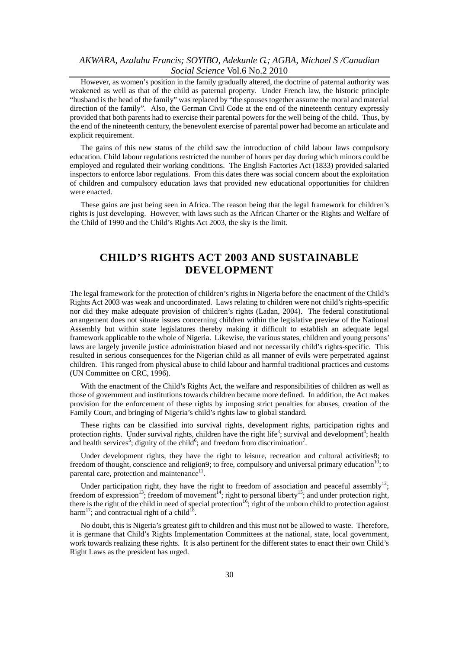However, as women's position in the family gradually altered, the doctrine of paternal authority was weakened as well as that of the child as paternal property. Under French law, the historic principle "husband is the head of the family" was replaced by "the spouses together assume the moral and material direction of the family". Also, the German Civil Code at the end of the nineteenth century expressly provided that both parents had to exercise their parental powers for the well being of the child. Thus, by the end of the nineteenth century, the benevolent exercise of parental power had become an articulate and explicit requirement.

The gains of this new status of the child saw the introduction of child labour laws compulsory education. Child labour regulations restricted the number of hours per day during which minors could be employed and regulated their working conditions. The English Factories Act (1833) provided salaried inspectors to enforce labor regulations. From this dates there was social concern about the exploitation of children and compulsory education laws that provided new educational opportunities for children were enacted.

These gains are just being seen in Africa. The reason being that the legal framework for children's rights is just developing. However, with laws such as the African Charter or the Rights and Welfare of the Child of 1990 and the Child's Rights Act 2003, the sky is the limit.

# **CHILD'S RIGHTS ACT 2003 AND SUSTAINABLE DEVELOPMENT**

The legal framework for the protection of children's rights in Nigeria before the enactment of the Child's Rights Act 2003 was weak and uncoordinated. Laws relating to children were not child's rights-specific nor did they make adequate provision of children's rights (Ladan, 2004). The federal constitutional arrangement does not situate issues concerning children within the legislative preview of the National Assembly but within state legislatures thereby making it difficult to establish an adequate legal framework applicable to the whole of Nigeria. Likewise, the various states, children and young persons' laws are largely juvenile justice administration biased and not necessarily child's rights-specific. This resulted in serious consequences for the Nigerian child as all manner of evils were perpetrated against children. This ranged from physical abuse to child labour and harmful traditional practices and customs (UN Committee on CRC, 1996).

With the enactment of the Child's Rights Act, the welfare and responsibilities of children as well as those of government and institutions towards children became more defined. In addition, the Act makes provision for the enforcement of these rights by imposing strict penalties for abuses, creation of the Family Court, and bringing of Nigeria's child's rights law to global standard.

These rights can be classified into survival rights, development rights, participation rights and protection rights. Under survival rights, children have the right life<sup>3</sup>; survival and development<sup>4</sup>; health and health services<sup>5</sup>; dignity of the child<sup>6</sup>; and freedom from discrimination<sup>7</sup>.

Under development rights, they have the right to leisure, recreation and cultural activities8; to freedom of thought, conscience and religion9; to free, compulsory and universal primary education<sup>10</sup>; to parental care, protection and maintenance $1$ .

Under participation right, they have the right to freedom of association and peaceful assembly<sup>12</sup>; freedom of expression<sup>13</sup>; freedom of movement<sup>14</sup>; right to personal liberty<sup>15</sup>; and under protection right, there is the right of the child in need of special protection<sup>16</sup>; right of the unborn child to protection against harm<sup>17</sup>; and contractual right of a child<sup>18</sup>.

No doubt, this is Nigeria's greatest gift to children and this must not be allowed to waste. Therefore, it is germane that Child's Rights Implementation Committees at the national, state, local government, work towards realizing these rights. It is also pertinent for the different states to enact their own Child's Right Laws as the president has urged.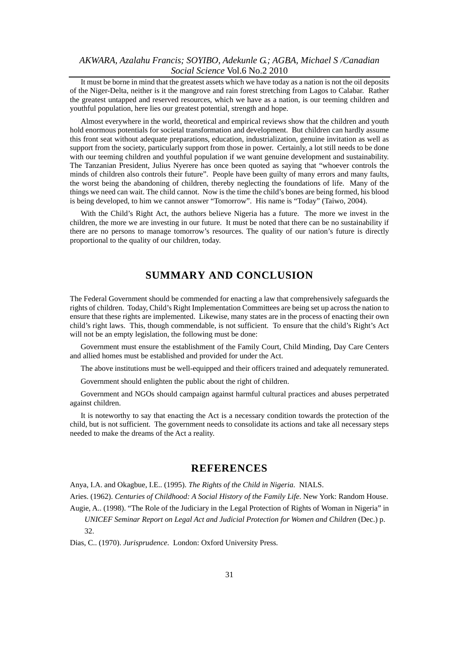It must be borne in mind that the greatest assets which we have today as a nation is not the oil deposits of the Niger-Delta, neither is it the mangrove and rain forest stretching from Lagos to Calabar. Rather the greatest untapped and reserved resources, which we have as a nation, is our teeming children and youthful population, here lies our greatest potential, strength and hope.

Almost everywhere in the world, theoretical and empirical reviews show that the children and youth hold enormous potentials for societal transformation and development. But children can hardly assume this front seat without adequate preparations, education, industrialization, genuine invitation as well as support from the society, particularly support from those in power. Certainly, a lot still needs to be done with our teeming children and youthful population if we want genuine development and sustainability. The Tanzanian President, Julius Nyerere has once been quoted as saying that "whoever controls the minds of children also controls their future". People have been guilty of many errors and many faults, the worst being the abandoning of children, thereby neglecting the foundations of life. Many of the things we need can wait. The child cannot. Now is the time the child's bones are being formed, his blood is being developed, to him we cannot answer "Tomorrow". His name is "Today" (Taiwo, 2004).

With the Child's Right Act, the authors believe Nigeria has a future. The more we invest in the children, the more we are investing in our future. It must be noted that there can be no sustainability if there are no persons to manage tomorrow's resources. The quality of our nation's future is directly proportional to the quality of our children, today.

## **SUMMARY AND CONCLUSION**

The Federal Government should be commended for enacting a law that comprehensively safeguards the rights of children. Today, Child's Right Implementation Committees are being set up across the nation to ensure that these rights are implemented. Likewise, many states are in the process of enacting their own child's right laws. This, though commendable, is not sufficient. To ensure that the child's Right's Act will not be an empty legislation, the following must be done:

Government must ensure the establishment of the Family Court, Child Minding, Day Care Centers and allied homes must be established and provided for under the Act.

The above institutions must be well-equipped and their officers trained and adequately remunerated.

Government should enlighten the public about the right of children.

Government and NGOs should campaign against harmful cultural practices and abuses perpetrated against children.

It is noteworthy to say that enacting the Act is a necessary condition towards the protection of the child, but is not sufficient. The government needs to consolidate its actions and take all necessary steps needed to make the dreams of the Act a reality.

#### **REFERENCES**

Anya, I.A. and Okagbue, I.E.. (1995). *The Rights of the Child in Nigeria*. NIALS.

Aries. (1962). *Centuries of Childhood: A Social History of the Family Life*. New York: Random House.

Augie, A.. (1998). "The Role of the Judiciary in the Legal Protection of Rights of Woman in Nigeria" in *UNICEF Seminar Report on Legal Act and Judicial Protection for Women and Children (Dec.) p.*  $32<sub>2</sub>$ 

Dias, C.. (1970). *Jurisprudence*. London: Oxford University Press.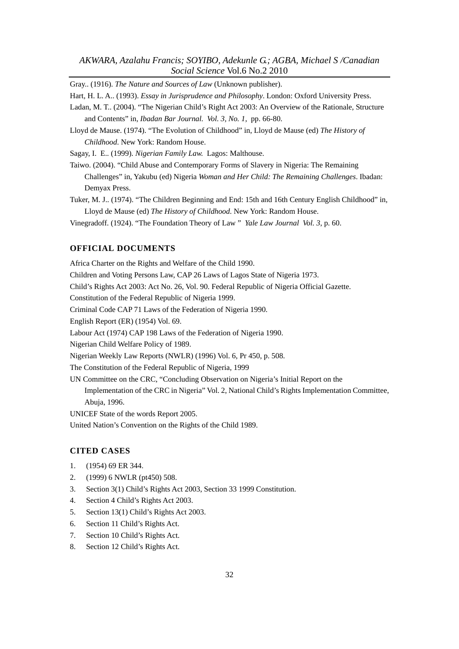Gray.. (1916). *The Nature and Sources of Law* (Unknown publisher).

Hart, H. L. A.. (1993). *Essay in Jurisprudence and Philosophy*. London: Oxford University Press.

- Ladan, M. T.. (2004). "The Nigerian Child's Right Act 2003: An Overview of the Rationale, Structure and Contents" in, *Ibadan Bar Journal. Vol. 3, No. 1*, pp. 66-80.
- Lloyd de Mause. (1974). "The Evolution of Childhood" in, Lloyd de Mause (ed) *The History of Childhood*. New York: Random House.

Sagay, I. E.. (1999). *Nigerian Family Law.* Lagos: Malthouse.

Taiwo. (2004). "Child Abuse and Contemporary Forms of Slavery in Nigeria: The Remaining Challenges" in, Yakubu (ed) Nigeria *Woman and Her Child: The Remaining Challenges*. Ibadan: Demyax Press.

Tuker, M. J.. (1974). "The Children Beginning and End: 15th and 16th Century English Childhood" in, Lloyd de Mause (ed) *The History of Childhood*. New York: Random House.

Vinegradoff. (1924). "The Foundation Theory of Law " *Yale Law Journal Vol. 3*, p. 60.

#### **OFFICIAL DOCUMENTS**

Africa Charter on the Rights and Welfare of the Child 1990. Children and Voting Persons Law, CAP 26 Laws of Lagos State of Nigeria 1973. Child's Rights Act 2003: Act No. 26, Vol. 90. Federal Republic of Nigeria Official Gazette. Constitution of the Federal Republic of Nigeria 1999. Criminal Code CAP 71 Laws of the Federation of Nigeria 1990. English Report (ER) (1954) Vol. 69. Labour Act (1974) CAP 198 Laws of the Federation of Nigeria 1990. Nigerian Child Welfare Policy of 1989. Nigerian Weekly Law Reports (NWLR) (1996) Vol. 6, Pr 450, p. 508. The Constitution of the Federal Republic of Nigeria, 1999 UN Committee on the CRC, "Concluding Observation on Nigeria's Initial Report on the Implementation of the CRC in Nigeria" Vol. 2, National Child's Rights Implementation Committee, Abuja, 1996. UNICEF State of the words Report 2005.

United Nation's Convention on the Rights of the Child 1989.

#### **CITED CASES**

- 1. (1954) 69 ER 344.
- 2. (1999) 6 NWLR (pt450) 508.
- 3. Section 3(1) Child's Rights Act 2003, Section 33 1999 Constitution.
- 4. Section 4 Child's Rights Act 2003.
- 5. Section 13(1) Child's Rights Act 2003.
- 6. Section 11 Child's Rights Act.
- 7. Section 10 Child's Rights Act.
- 8. Section 12 Child's Rights Act.